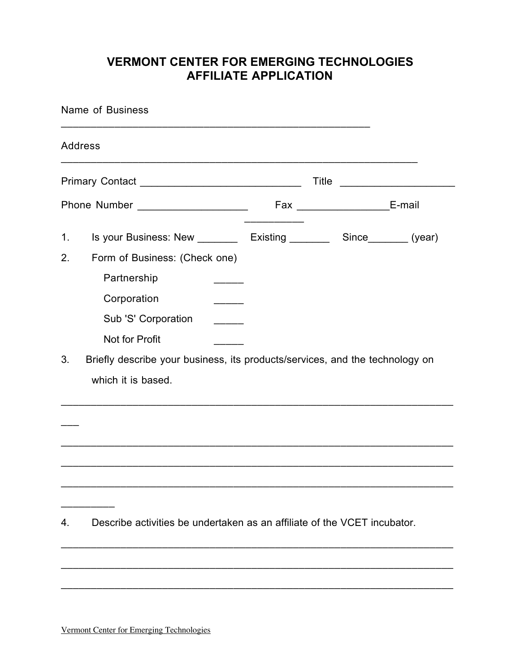## **VERMONT CENTER FOR EMERGING TECHNOLOGIES AFFILIATE APPLICATION**

| Name of Business                     |                                                                                                                                                                                                               |  |                                   |  |  |  |
|--------------------------------------|---------------------------------------------------------------------------------------------------------------------------------------------------------------------------------------------------------------|--|-----------------------------------|--|--|--|
| Address                              |                                                                                                                                                                                                               |  |                                   |  |  |  |
| Title                                |                                                                                                                                                                                                               |  |                                   |  |  |  |
| Phone Number _______________________ |                                                                                                                                                                                                               |  | Fax _______________________E-mail |  |  |  |
| 1.<br>2.                             | Is your Business: New __________ Existing __________ Since________ (year)<br>Form of Business: (Check one)<br>Partnership<br>Corporation<br>$\overline{\phantom{a}}$<br>Sub 'S' Corporation<br>Not for Profit |  |                                   |  |  |  |
| 3.                                   | Briefly describe your business, its products/services, and the technology on<br>which it is based.                                                                                                            |  |                                   |  |  |  |
| 4.                                   | Describe activities be undertaken as an affiliate of the VCET incubator.                                                                                                                                      |  |                                   |  |  |  |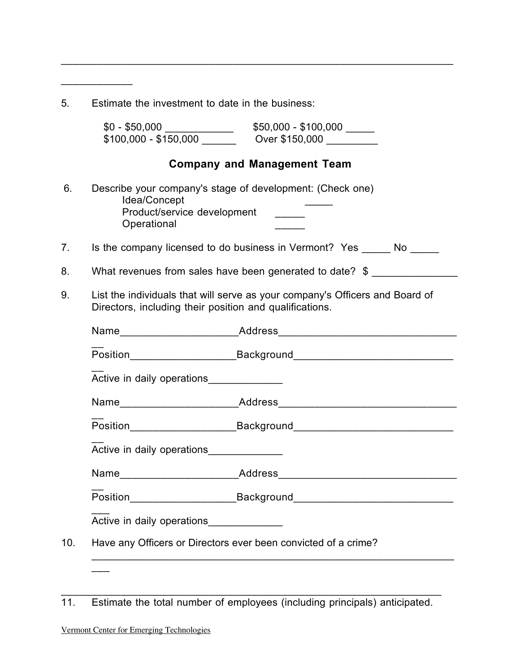| 5.  | Estimate the investment to date in the business:                                                                                                                                                                                |  |  |
|-----|---------------------------------------------------------------------------------------------------------------------------------------------------------------------------------------------------------------------------------|--|--|
|     | $$0 - $50,000$ $$100,000$ $$100,000$ $$100,000$ $$100,000$ $$100,000$ $$100,000$ $$100,000$ $$100,000$ $$100,000$ $$100,000$ $$100,000$ $$100,000$ $$100,000$ $$100,000$ $$100,000$ $$100,000$ $$100,000$ $$100,000$ $$100,000$ |  |  |
|     | <b>Company and Management Team</b>                                                                                                                                                                                              |  |  |
| 6.  | Describe your company's stage of development: (Check one)<br>Idea/Concept<br>Product/service development<br>Operational                                                                                                         |  |  |
| 7.  | Is the company licensed to do business in Vermont? Yes ______ No ______                                                                                                                                                         |  |  |
| 8.  | What revenues from sales have been generated to date? \$                                                                                                                                                                        |  |  |
| 9.  | List the individuals that will serve as your company's Officers and Board of<br>Directors, including their position and qualifications.                                                                                         |  |  |
|     |                                                                                                                                                                                                                                 |  |  |
|     | Position______________________________Background________________________________                                                                                                                                                |  |  |
|     | Active in daily operations                                                                                                                                                                                                      |  |  |
|     |                                                                                                                                                                                                                                 |  |  |
|     | Position_____________________________Background_________________________________                                                                                                                                                |  |  |
|     | Active in daily operations                                                                                                                                                                                                      |  |  |
|     | Name_______________________Address_________________________________                                                                                                                                                             |  |  |
|     | Position_____________________________Background_________________________________                                                                                                                                                |  |  |
|     | Active in daily operations______________                                                                                                                                                                                        |  |  |
| 10. | Have any Officers or Directors ever been convicted of a crime?                                                                                                                                                                  |  |  |

\_\_\_\_\_\_\_\_\_\_\_\_\_\_\_\_\_\_\_\_\_\_\_\_\_\_\_\_\_\_\_\_\_\_\_\_\_\_\_\_\_\_\_\_\_\_\_\_\_\_\_\_\_\_\_\_\_\_\_\_\_\_\_\_\_\_

 $\overline{\phantom{a}}$  , and the contribution of the contribution of the contribution of the contribution of the contribution of the contribution of the contribution of the contribution of the contribution of the contribution of the 11. Estimate the total number of employees (including principals) anticipated.

\_\_\_\_\_\_\_\_\_\_\_\_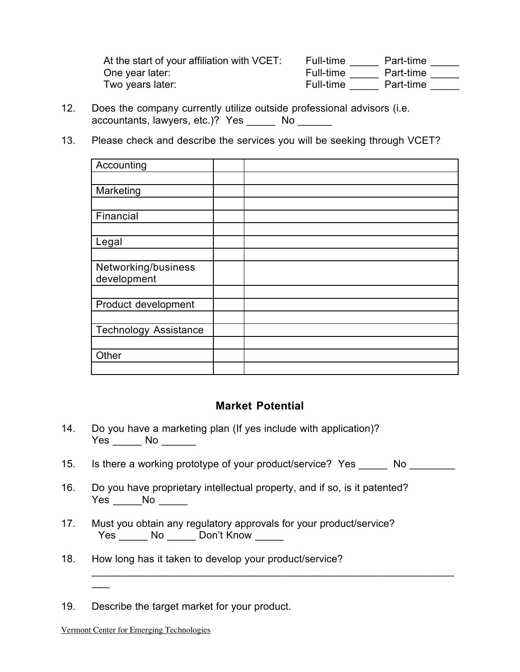| At the start of your affiliation with VCET: | Full-time | Part-time |
|---------------------------------------------|-----------|-----------|
| One year later:                             | Full-time | Part-time |
| Two years later:                            | Full-time | Part-time |

- 12. Does the company currently utilize outside professional advisors (i.e. accountants, lawyers, etc.)? Yes \_\_\_\_\_ No \_\_\_\_\_\_
- 13. Please check and describe the services you will be seeking through VCET?

| Accounting                   |  |
|------------------------------|--|
|                              |  |
| Marketing                    |  |
|                              |  |
| Financial                    |  |
|                              |  |
| Legal                        |  |
|                              |  |
| Networking/business          |  |
| development                  |  |
|                              |  |
| Product development          |  |
|                              |  |
| <b>Technology Assistance</b> |  |
|                              |  |
| Other                        |  |
|                              |  |

## **Market Potential**

- 14. Do you have a marketing plan (If yes include with application)? Yes \_\_\_\_\_\_ No \_\_\_\_\_\_\_
- 15. Is there a working prototype of your product/service? Yes \_\_\_\_\_\_ No \_\_\_\_\_\_\_\_

\_\_\_\_\_\_\_\_\_\_\_\_\_\_\_\_\_\_\_\_\_\_\_\_\_\_\_\_\_\_\_\_\_\_\_\_\_\_\_\_\_\_\_\_\_\_\_\_\_\_\_\_\_\_\_\_\_\_\_\_\_

- 16. Do you have proprietary intellectual property, and if so, is it patented? Yes \_\_\_\_\_\_ No \_\_\_\_\_\_
- 17. Must you obtain any regulatory approvals for your product/service? Yes \_\_\_\_\_\_ No \_\_\_\_\_ Don't Know \_\_\_\_\_
- 18. How long has it taken to develop your product/service?

19. Describe the target market for your product.

 $\overline{\phantom{a}}$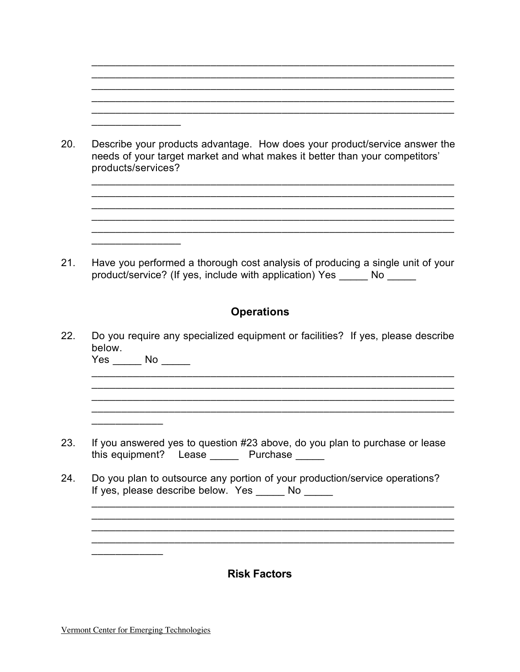20. Describe your products advantage. How does your product/service answer the needs of your target market and what makes it better than your competitors' products/services?

\_\_\_\_\_\_\_\_\_\_\_\_\_\_\_\_\_\_\_\_\_\_\_\_\_\_\_\_\_\_\_\_\_\_\_\_\_\_\_\_\_\_\_\_\_\_\_\_\_\_\_\_\_\_\_\_\_\_\_\_\_

 $\overline{\phantom{a}}$  , and the contribution of the contribution of the contribution of the contribution of the contribution of the contribution of the contribution of the contribution of the contribution of the contribution of the

 $\overline{\phantom{a}}$  , and the contribution of the contribution of the contribution of the contribution of the contribution of the contribution of the contribution of the contribution of the contribution of the contribution of the \_\_\_\_\_\_\_\_\_\_\_\_\_\_\_\_\_\_\_\_\_\_\_\_\_\_\_\_\_\_\_\_\_\_\_\_\_\_\_\_\_\_\_\_\_\_\_\_\_\_\_\_\_\_\_\_\_\_\_\_\_ \_\_\_\_\_\_\_\_\_\_\_\_\_\_\_\_\_\_\_\_\_\_\_\_\_\_\_\_\_\_\_\_\_\_\_\_\_\_\_\_\_\_\_\_\_\_\_\_\_\_\_\_\_\_\_\_\_\_\_\_\_  $\overline{\phantom{a}}$  , and the contribution of the contribution of the contribution of the contribution of the contribution of the contribution of the contribution of the contribution of the contribution of the contribution of the \_\_\_\_\_\_\_\_\_\_\_\_\_\_\_\_\_\_\_\_\_\_\_\_\_\_\_\_\_\_\_\_\_\_\_\_\_\_\_\_\_\_\_\_\_\_\_\_\_\_\_\_\_\_\_\_\_\_\_\_\_

21. Have you performed a thorough cost analysis of producing a single unit of your product/service? (If yes, include with application) Yes \_\_\_\_\_ No \_\_\_\_\_

## **Operations**

22. Do you require any specialized equipment or facilities? If yes, please describe below.

\_\_\_\_\_\_\_\_\_\_\_\_\_\_\_\_\_\_\_\_\_\_\_\_\_\_\_\_\_\_\_\_\_\_\_\_\_\_\_\_\_\_\_\_\_\_\_\_\_\_\_\_\_\_\_\_\_\_\_\_\_ \_\_\_\_\_\_\_\_\_\_\_\_\_\_\_\_\_\_\_\_\_\_\_\_\_\_\_\_\_\_\_\_\_\_\_\_\_\_\_\_\_\_\_\_\_\_\_\_\_\_\_\_\_\_\_\_\_\_\_\_\_

\_\_\_\_\_\_\_\_\_\_\_\_\_\_\_\_\_\_\_\_\_\_\_\_\_\_\_\_\_\_\_\_\_\_\_\_\_\_\_\_\_\_\_\_\_\_\_\_\_\_\_\_\_\_\_\_\_\_\_\_\_  $\overline{\phantom{a}}$  , and the contribution of the contribution of the contribution of the contribution of the contribution of the contribution of the contribution of the contribution of the contribution of the contribution of the \_\_\_\_\_\_\_\_\_\_\_\_\_\_\_\_\_\_\_\_\_\_\_\_\_\_\_\_\_\_\_\_\_\_\_\_\_\_\_\_\_\_\_\_\_\_\_\_\_\_\_\_\_\_\_\_\_\_\_\_\_ \_\_\_\_\_\_\_\_\_\_\_\_\_\_\_\_\_\_\_\_\_\_\_\_\_\_\_\_\_\_\_\_\_\_\_\_\_\_\_\_\_\_\_\_\_\_\_\_\_\_\_\_\_\_\_\_\_\_\_\_\_

Yes \_\_\_\_\_\_ No \_\_\_\_\_\_  $\overline{\phantom{a}}$  , and the contribution of the contribution of the contribution of the contribution of the contribution of the contribution of the contribution of the contribution of the contribution of the contribution of the

 $\overline{\phantom{a}}$  , where  $\overline{\phantom{a}}$ 

 $\overline{\phantom{a}}$  , where the contract of  $\overline{\phantom{a}}$ 

 $\overline{\phantom{a}}$  , where  $\overline{\phantom{a}}$  , where  $\overline{\phantom{a}}$ 

- 23. If you answered yes to question #23 above, do you plan to purchase or lease this equipment? Lease \_\_\_\_\_\_ Purchase \_\_\_\_\_
- 24. Do you plan to outsource any portion of your production/service operations? If yes, please describe below. Yes \_\_\_\_\_ No \_\_\_\_\_

**Risk Factors**